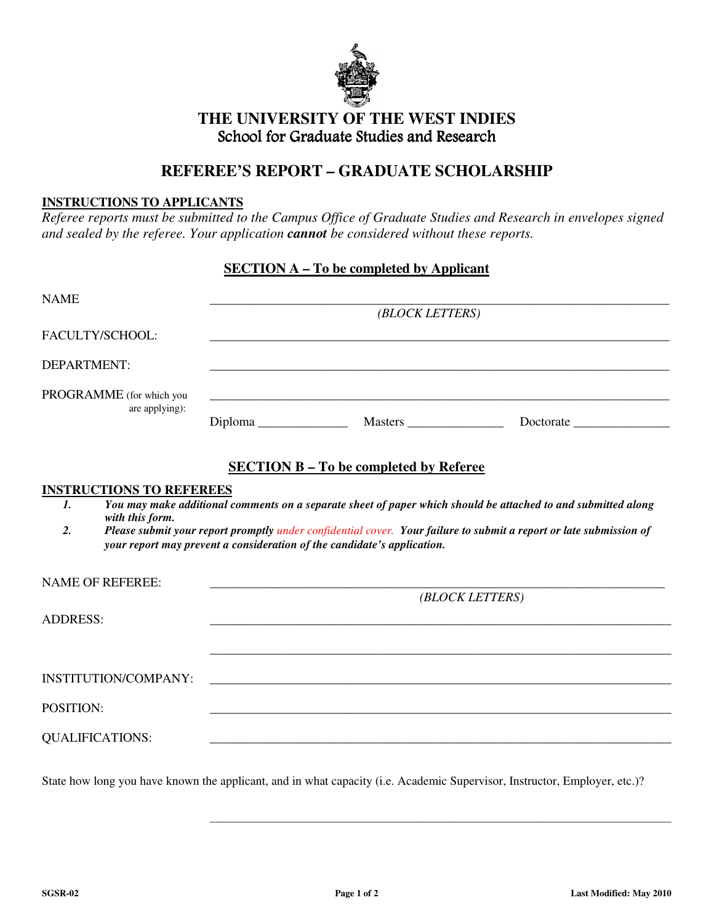

## **THE UNIVERSITY OF THE WEST INDIES**  School for Graduate Studies and Research

## **REFEREE'S REPORT – GRADUATE SCHOLARSHIP**

## **INSTRUCTIONS TO APPLICANTS**

*Referee reports must be submitted to the Campus Office of Graduate Studies and Research in envelopes signed and sealed by the referee. Your application cannot be considered without these reports.* 

## **SECTION A – To be completed by Applicant**

| <b>NAME</b>                                | (BLOCK LETTERS) |                                                                         |                                                                                                                           |  |  |  |  |
|--------------------------------------------|-----------------|-------------------------------------------------------------------------|---------------------------------------------------------------------------------------------------------------------------|--|--|--|--|
| FACULTY/SCHOOL:                            |                 |                                                                         |                                                                                                                           |  |  |  |  |
| DEPARTMENT:                                |                 |                                                                         |                                                                                                                           |  |  |  |  |
| PROGRAMME (for which you<br>are applying): |                 |                                                                         | <u> 1989 - Johann Stoff, deutscher Stoff, der Stoff, der Stoff, der Stoff, der Stoff, der Stoff, der Stoff, der S</u>     |  |  |  |  |
|                                            |                 | <b>SECTION B - To be completed by Referee</b>                           |                                                                                                                           |  |  |  |  |
| <b>INSTRUCTIONS TO REFEREES</b>            |                 |                                                                         |                                                                                                                           |  |  |  |  |
| 1.                                         |                 |                                                                         | You may make additional comments on a separate sheet of paper which should be attached to and submitted along             |  |  |  |  |
| with this form.<br>2.                      |                 |                                                                         | Please submit your report promptly under confidential cover. Your failure to submit a report or late submission of        |  |  |  |  |
|                                            |                 | your report may prevent a consideration of the candidate's application. |                                                                                                                           |  |  |  |  |
|                                            |                 |                                                                         |                                                                                                                           |  |  |  |  |
| <b>NAME OF REFEREE:</b>                    |                 |                                                                         |                                                                                                                           |  |  |  |  |
|                                            | (BLOCK LETTERS) |                                                                         |                                                                                                                           |  |  |  |  |
| <b>ADDRESS:</b>                            |                 |                                                                         |                                                                                                                           |  |  |  |  |
|                                            |                 |                                                                         |                                                                                                                           |  |  |  |  |
|                                            |                 |                                                                         |                                                                                                                           |  |  |  |  |
|                                            |                 |                                                                         |                                                                                                                           |  |  |  |  |
| <b>INSTITUTION/COMPANY:</b>                |                 | <u> 1989 - John Stone, Amerikaansk politiker (* 1989)</u>               |                                                                                                                           |  |  |  |  |
| POSITION:                                  |                 |                                                                         |                                                                                                                           |  |  |  |  |
| <b>QUALIFICATIONS:</b>                     |                 |                                                                         |                                                                                                                           |  |  |  |  |
|                                            |                 |                                                                         |                                                                                                                           |  |  |  |  |
|                                            |                 |                                                                         | State how long you have known the applicant, and in what capacity (i.e. Academic Supervisor, Instructor, Employer, etc.)? |  |  |  |  |

\_\_\_\_\_\_\_\_\_\_\_\_\_\_\_\_\_\_\_\_\_\_\_\_\_\_\_\_\_\_\_\_\_\_\_\_\_\_\_\_\_\_\_\_\_\_\_\_\_\_\_\_\_\_\_\_\_\_\_\_\_\_\_\_\_\_\_\_\_\_\_\_\_\_\_\_\_\_\_\_\_\_\_\_\_\_\_\_